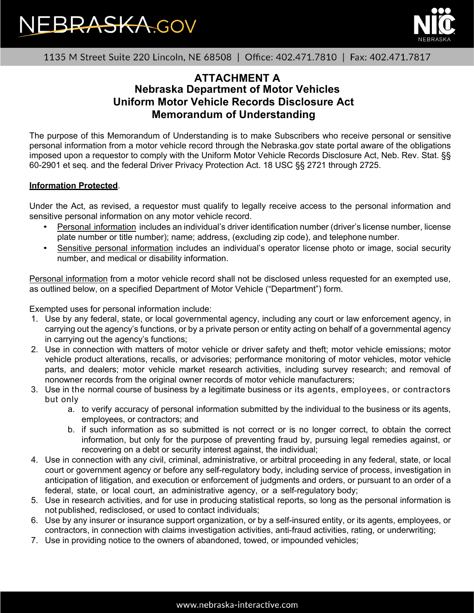



1135 M Street Suite 220 Lincoln, NE 68508 | Office: 402.471.7810 | Fax: 402.471.7817

## **ATTACHMENT A Nebraska Department of Motor Vehicles Uniform Motor Vehicle Records Disclosure Act Memorandum of Understanding**

The purpose of this Memorandum of Understanding is to make Subscribers who receive personal or sensitive personal information from a motor vehicle record through the Nebraska.gov state portal aware of the obligations imposed upon a requestor to comply with the Uniform Motor Vehicle Records Disclosure Act, Neb. Rev. Stat. §§ 60-2901 et seq. and the federal Driver Privacy Protection Act. 18 USC §§ 2721 through 2725.

### **Information Protected**.

Under the Act, as revised, a requestor must qualify to legally receive access to the personal information and sensitive personal information on any motor vehicle record.

- Personal information includes an individual's driver identification number (driver's license number, license plate number or title number); name; address, (excluding zip code), and telephone number.
- Sensitive personal information includes an individual's operator license photo or image, social security number, and medical or disability information.

Personal information from a motor vehicle record shall not be disclosed unless requested for an exempted use, as outlined below, on a specified Department of Motor Vehicle ("Department") form.

Exempted uses for personal information include:

- 1. Use by any federal, state, or local governmental agency, including any court or law enforcement agency, in carrying out the agency's functions, or by a private person or entity acting on behalf of a governmental agency in carrying out the agency's functions;
- 2. Use in connection with matters of motor vehicle or driver safety and theft; motor vehicle emissions; motor vehicle product alterations, recalls, or advisories; performance monitoring of motor vehicles, motor vehicle parts, and dealers; motor vehicle market research activities, including survey research; and removal of nonowner records from the original owner records of motor vehicle manufacturers;
- 3. Use in the normal course of business by a legitimate business or its agents, employees, or contractors but only
	- a. to verify accuracy of personal information submitted by the individual to the business or its agents, employees, or contractors; and
	- b. if such information as so submitted is not correct or is no longer correct, to obtain the correct information, but only for the purpose of preventing fraud by, pursuing legal remedies against, or recovering on a debt or security interest against, the individual;
- 4. Use in connection with any civil, criminal, administrative, or arbitral proceeding in any federal, state, or local court or government agency or before any self-regulatory body, including service of process, investigation in anticipation of litigation, and execution or enforcement of judgments and orders, or pursuant to an order of a federal, state, or local court, an administrative agency, or a self-regulatory body;
- 5. Use in research activities, and for use in producing statistical reports, so long as the personal information is not published, redisclosed, or used to contact individuals;
- 6. Use by any insurer or insurance support organization, or by a self-insured entity, or its agents, employees, or contractors, in connection with claims investigation activities, anti-fraud activities, rating, or underwriting;
- 7. Use in providing notice to the owners of abandoned, towed, or impounded vehicles;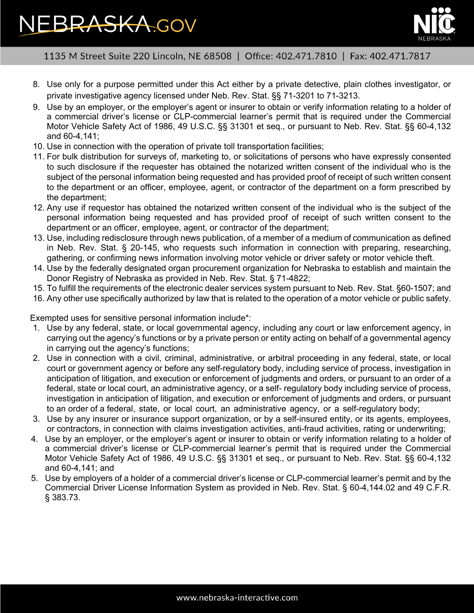# **EBRASKA.GOV**



1135 M Street Suite 220 Lincoln, NE 68508 | Office: 402.471.7810 | Fax: 402.471.7817

- 8. Use only for a purpose permitted under this Act either by a private detective, plain clothes investigator, or private investigative agency licensed under Neb. Rev. Stat. §§ 71-3201 to 71-3213.
- 9. Use by an employer, or the employer's agent or insurer to obtain or verify information relating to a holder of a commercial driver's license or CLP-commercial learner's permit that is required under the Commercial Motor Vehicle Safety Act of 1986, 49 U.S.C. §§ 31301 et seq., or pursuant to Neb. Rev. Stat. §§ 60-4,132 and 60-4,141;
- 10. Use in connection with the operation of private toll transportation facilities;
- 11. For bulk distribution for surveys of, marketing to, or solicitations of persons who have expressly consented to such disclosure if the requester has obtained the notarized written consent of the individual who is the subject of the personal information being requested and has provided proof of receipt of such written consent to the department or an officer, employee, agent, or contractor of the department on a form prescribed by the department;
- 12. Any use if requestor has obtained the notarized written consent of the individual who is the subject of the personal information being requested and has provided proof of receipt of such written consent to the department or an officer, employee, agent, or contractor of the department;
- 13. Use, including redisclosure through news publication, of a member of a medium of communication as defined in Neb. Rev. Stat. § 20-145, who requests such information in connection with preparing, researching, gathering, or confirming news information involving motor vehicle or driver safety or motor vehicle theft.
- 14. Use by the federally designated organ procurement organization for Nebraska to establish and maintain the Donor Registry of Nebraska as provided in Neb. Rev. Stat. § 71-4822;
- 15. To fulfill the requirements of the electronic dealer services system pursuant to Neb. Rev. Stat. §60-1507; and
- 16. Any other use specifically authorized by law that is related to the operation of a motor vehicle or public safety.

Exempted uses for sensitive personal information include\*:

- 1. Use by any federal, state, or local governmental agency, including any court or law enforcement agency, in carrying out the agency's functions or by a private person or entity acting on behalf of a governmental agency in carrying out the agency's functions;
- 2. Use in connection with a civil, criminal, administrative, or arbitral proceeding in any federal, state, or local court or government agency or before any self-regulatory body, including service of process, investigation in anticipation of litigation, and execution or enforcement of judgments and orders, or pursuant to an order of a federal, state or local court, an administrative agency, or a self- regulatory body including service of process, investigation in anticipation of litigation, and execution or enforcement of judgments and orders, or pursuant to an order of a federal, state, or local court, an administrative agency, or a self-regulatory body;
- 3. Use by any insurer or insurance support organization, or by a self-insured entity, or its agents, employees, or contractors, in connection with claims investigation activities, anti-fraud activities, rating or underwriting;
- 4. Use by an employer, or the employer's agent or insurer to obtain or verify information relating to a holder of a commercial driver's license or CLP-commercial learner's permit that is required under the Commercial Motor Vehicle Safety Act of 1986, 49 U.S.C. §§ 31301 et seq., or pursuant to Neb. Rev. Stat. §§ 60-4,132 and 60-4,141; and
- 5. Use by employers of a holder of a commercial driver's license or CLP-commercial learner's permit and by the Commercial Driver License Information System as provided in Neb. Rev. Stat. § 60-4,144.02 and 49 C.F.R. § 383.73.